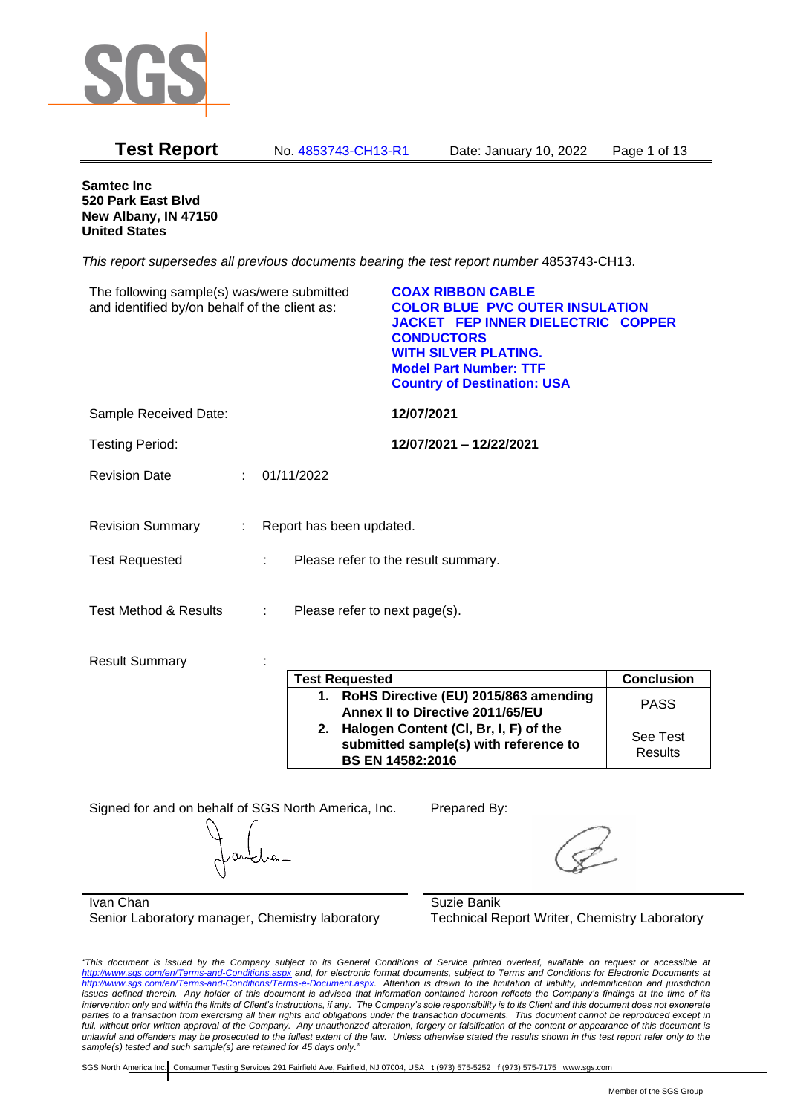

| <b>Test Report</b>                                                                          | No. 4853743-CH13-R1                      |            | Date: January 10, 2022                                                                                                                                                                                                                     | Page 1 of 13 |
|---------------------------------------------------------------------------------------------|------------------------------------------|------------|--------------------------------------------------------------------------------------------------------------------------------------------------------------------------------------------------------------------------------------------|--------------|
| <b>Samtec Inc.</b><br>520 Park East Blvd<br>New Albany, IN 47150<br><b>United States</b>    |                                          |            |                                                                                                                                                                                                                                            |              |
|                                                                                             |                                          |            | This report supersedes all previous documents bearing the test report number 4853743-CH13.                                                                                                                                                 |              |
| The following sample(s) was/were submitted<br>and identified by/on behalf of the client as: |                                          |            | <b>COAX RIBBON CABLE</b><br><b>COLOR BLUE PVC OUTER INSULATION</b><br><b>JACKET FEP INNER DIELECTRIC COPPER</b><br><b>CONDUCTORS</b><br><b>WITH SILVER PLATING.</b><br><b>Model Part Number: TTF</b><br><b>Country of Destination: USA</b> |              |
| Sample Received Date:                                                                       |                                          | 12/07/2021 |                                                                                                                                                                                                                                            |              |
| <b>Testing Period:</b>                                                                      |                                          |            | 12/07/2021 - 12/22/2021                                                                                                                                                                                                                    |              |
| <b>Revision Date</b>                                                                        | 01/11/2022                               |            |                                                                                                                                                                                                                                            |              |
| <b>Revision Summary</b>                                                                     | Report has been updated.<br>÷            |            |                                                                                                                                                                                                                                            |              |
| <b>Test Requested</b>                                                                       | Please refer to the result summary.<br>÷ |            |                                                                                                                                                                                                                                            |              |
| <b>Test Method &amp; Results</b>                                                            | Please refer to next page(s).            |            |                                                                                                                                                                                                                                            |              |

Result Summary : :

|    | <b>Test Requested</b>                                                                                     | <b>Conclusion</b>          |
|----|-----------------------------------------------------------------------------------------------------------|----------------------------|
|    | 1. RoHS Directive (EU) 2015/863 amending<br>Annex II to Directive 2011/65/EU                              | <b>PASS</b>                |
| 2. | Halogen Content (CI, Br, I, F) of the<br>submitted sample(s) with reference to<br><b>BS EN 14582:2016</b> | See Test<br><b>Results</b> |

Signed for and on behalf of SGS North America, Inc. Prepared By:

Ivan Chan Senior Laboratory manager, Chemistry laboratory

Suzie Banik Technical Report Writer, Chemistry Laboratory

*"This document is issued by the Company subject to its General Conditions of Service printed overleaf, available on request or accessible at <http://www.sgs.com/en/Terms-and-Conditions.aspx> and, for electronic format documents, subject to Terms and Conditions for Electronic Documents at [http://www.sgs.com/en/Terms-and-Conditions/Terms-e-Document.aspx.](http://www.sgs.com/en/Terms-and-Conditions/Terms-e-Document.aspx) Attention is drawn to the limitation of liability, indemnification and jurisdiction issues defined therein. Any holder of this document is advised that information contained hereon reflects the Company's findings at the time of its intervention only and within the limits of Client's instructions, if any. The Company's sole responsibility is to its Client and this document does not exonerate parties to a transaction from exercising all their rights and obligations under the transaction documents. This document cannot be reproduced except in full, without prior written approval of the Company. Any unauthorized alteration, forgery or falsification of the content or appearance of this document is unlawful and offenders may be prosecuted to the fullest extent of the law. Unless otherwise stated the results shown in this test report refer only to the sample(s) tested and such sample(s) are retained for 45 days only."*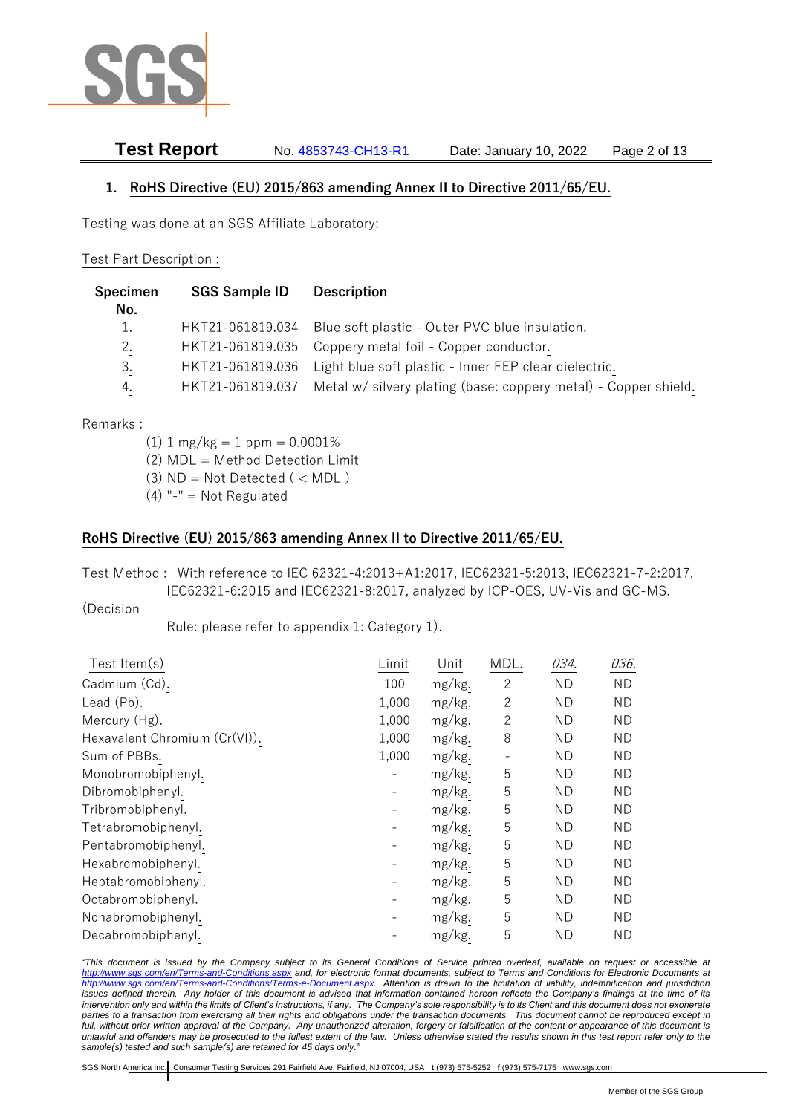

# **Test Report** No. 4853743-CH13-R1 Date: January 10, 2022 Page 2 of 13

## **1. RoHS Directive (EU) 2015/863 amending Annex II to Directive 2011/65/EU.**

Testing was done at an SGS Affiliate Laboratory:

### Test Part Description :

| Specimen<br>No. | <b>SGS Sample ID</b> | <b>Description</b>                                                     |
|-----------------|----------------------|------------------------------------------------------------------------|
| 1.              |                      | HKT21-061819.034 Blue soft plastic - Outer PVC blue insulation.        |
| 2.              |                      | HKT21-061819.035 Coppery metal foil - Copper conductor.                |
| 3.              |                      | HKT21-061819.036 Light blue soft plastic - Inner FEP clear dielectric. |
| 4.              | HKT21-061819.037     | Metal w/ silvery plating (base: coppery metal) - Copper shield.        |

Remarks :

- $(1)$  1 mg/kg = 1 ppm = 0.0001%
- (2) MDL = Method Detection Limit
- $(3)$  ND = Not Detected  $($  < MDL)
- (4) "-" = Not Regulated

## **RoHS Directive (EU) 2015/863 amending Annex II to Directive 2011/65/EU.**

Test Method : With reference to IEC 62321-4:2013+A1:2017, IEC62321-5:2013, IEC62321-7-2:2017, IEC62321-6:2015 and IEC62321-8:2017, analyzed by ICP-OES, UV-Vis and GC-MS.

(Decision

Rule: please refer to appendix 1: Category 1).

| Test Item(s)                  | Limit             | Unit   | MDL.           | 034.      | 036.      |
|-------------------------------|-------------------|--------|----------------|-----------|-----------|
| Cadmium (Cd).                 | 100               | mg/kg. | 2              | <b>ND</b> | ND.       |
| Lead (Pb).                    | 1,000             | mg/kg. | $\overline{c}$ | <b>ND</b> | ND.       |
| Mercury (Hg).                 | 1,000             | mg/kg. | $\mathbf{2}$   | <b>ND</b> | <b>ND</b> |
| Hexavalent Chromium (Cr(VI)). | 1,000             | mg/kg. | 8              | <b>ND</b> | ΝD        |
| Sum of PBBs.                  | 1,000             | mg/kg. |                | <b>ND</b> | ND.       |
| Monobromobiphenyl.            |                   | mg/kg. | 5              | <b>ND</b> | ND        |
| Dibromobiphenyl.              |                   | mg/kg. | 5              | <b>ND</b> | <b>ND</b> |
| Tribromobiphenyl.             | $\qquad \qquad -$ | mg/kg. | 5              | <b>ND</b> | ΝD        |
| Tetrabromobiphenyl.           |                   | mg/kg. | 5              | ND        | ΝD        |
| Pentabromobiphenyl.           |                   | mg/kg. | 5              | <b>ND</b> | ND        |
| Hexabromobiphenyl.            |                   | mg/kg. | 5              | <b>ND</b> | ΝD        |
| Heptabromobiphenyl.           |                   | mg/kg. | 5              | <b>ND</b> | <b>ND</b> |
| Octabromobiphenyl.            |                   | mg/kg. | 5              | <b>ND</b> | ND.       |
| Nonabromobiphenyl.            |                   | mg/kg. | 5              | <b>ND</b> | ND.       |
| Decabromobiphenyl.            |                   | mg/kg. | 5              | <b>ND</b> | ΝD        |

*"This document is issued by the Company subject to its General Conditions of Service printed overleaf, available on request or accessible at <http://www.sgs.com/en/Terms-and-Conditions.aspx> and, for electronic format documents, subject to Terms and Conditions for Electronic Documents at [http://www.sgs.com/en/Terms-and-Conditions/Terms-e-Document.aspx.](http://www.sgs.com/en/Terms-and-Conditions/Terms-e-Document.aspx) Attention is drawn to the limitation of liability, indemnification and jurisdiction issues defined therein. Any holder of this document is advised that information contained hereon reflects the Company's findings at the time of its intervention only and within the limits of Client's instructions, if any. The Company's sole responsibility is to its Client and this document does not exonerate parties to a transaction from exercising all their rights and obligations under the transaction documents. This document cannot be reproduced except in full, without prior written approval of the Company. Any unauthorized alteration, forgery or falsification of the content or appearance of this document is unlawful and offenders may be prosecuted to the fullest extent of the law. Unless otherwise stated the results shown in this test report refer only to the sample(s) tested and such sample(s) are retained for 45 days only."*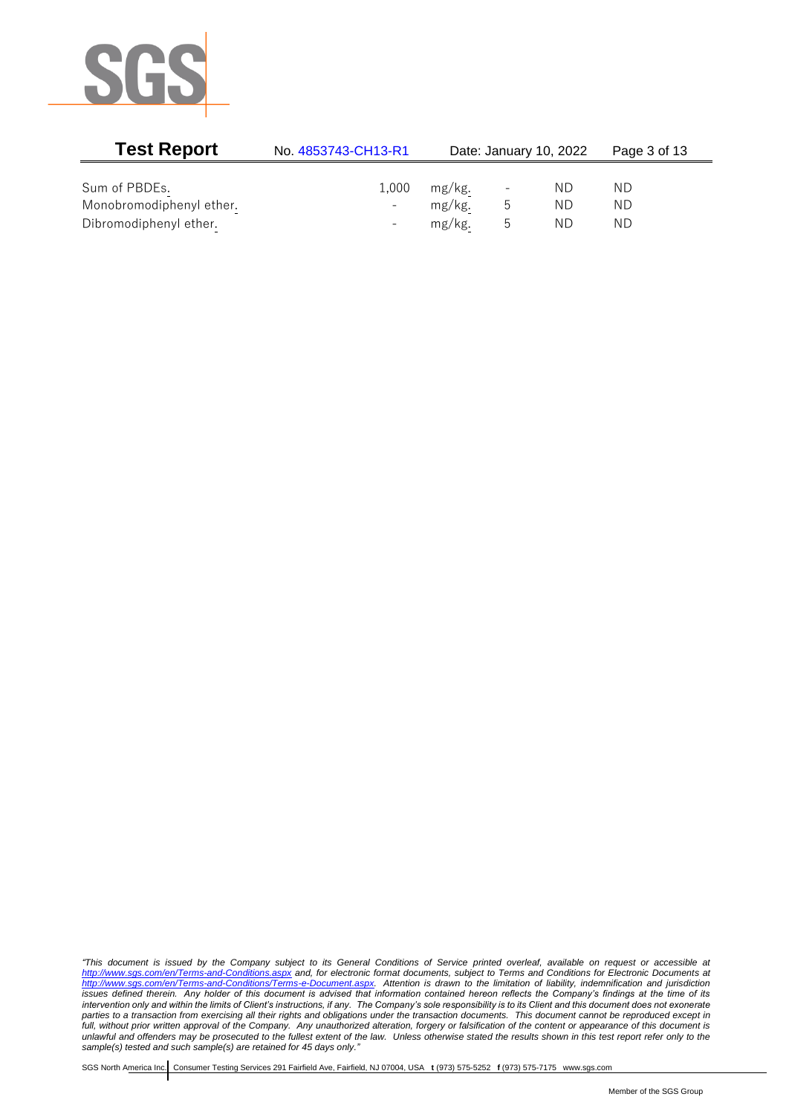

| <b>Test Report</b>       | No. 4853743-CH13-R1      |           |   | Date: January 10, 2022 | Page 3 of 13 |  |
|--------------------------|--------------------------|-----------|---|------------------------|--------------|--|
|                          |                          |           |   |                        |              |  |
| Sum of PBDEs.            | 1,000                    | mg/kg.    |   | ND.                    | ND           |  |
| Monobromodiphenyl ether. |                          | mg/kg.    | ს | ND.                    | ΝD           |  |
| Dibromodiphenyl ether.   | $\overline{\phantom{0}}$ | $mg/kg$ . | h | ND.                    | ΝD           |  |

*"This document is issued by the Company subject to its General Conditions of Service printed overleaf, available on request or accessible at <http://www.sgs.com/en/Terms-and-Conditions.aspx> and, for electronic format documents, subject to Terms and Conditions for Electronic Documents at [http://www.sgs.com/en/Terms-and-Conditions/Terms-e-Document.aspx.](http://www.sgs.com/en/Terms-and-Conditions/Terms-e-Document.aspx) Attention is drawn to the limitation of liability, indemnification and jurisdiction issues defined therein. Any holder of this document is advised that information contained hereon reflects the Company's findings at the time of its intervention only and within the limits of Client's instructions, if any. The Company's sole responsibility is to its Client and this document does not exonerate parties to a transaction from exercising all their rights and obligations under the transaction documents. This document cannot be reproduced except in full, without prior written approval of the Company. Any unauthorized alteration, forgery or falsification of the content or appearance of this document is unlawful and offenders may be prosecuted to the fullest extent of the law. Unless otherwise stated the results shown in this test report refer only to the sample(s) tested and such sample(s) are retained for 45 days only."*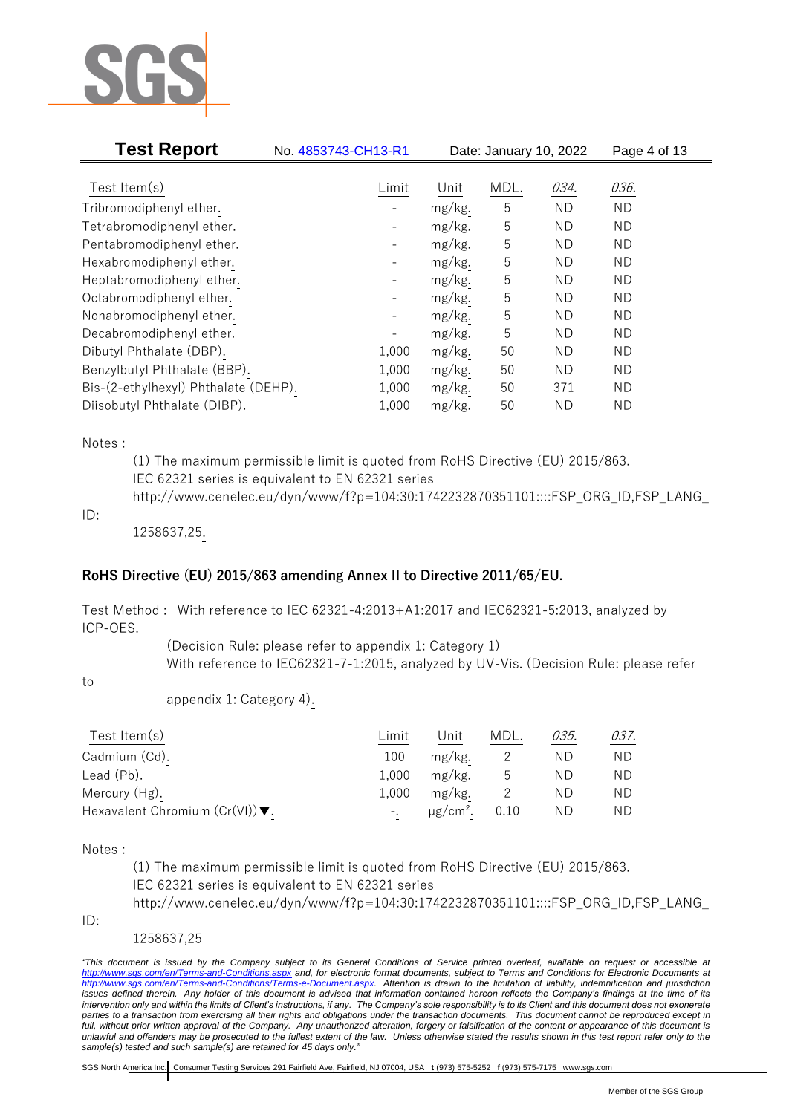

| <b>Test Report</b>                   | No. 4853743-CH13-R1      |        | Date: January 10, 2022 |           | Page 4 of 13 |
|--------------------------------------|--------------------------|--------|------------------------|-----------|--------------|
| Test Item $(s)$                      | Limit                    | Unit   | MDL.                   | 034.      | 036.         |
|                                      |                          |        |                        |           |              |
| Tribromodiphenyl ether.              |                          | mg/kg. | 5                      | <b>ND</b> | <b>ND</b>    |
| Tetrabromodiphenyl ether.            |                          | mg/kg. | 5                      | ND.       | <b>ND</b>    |
| Pentabromodiphenyl ether.            |                          | mg/kg. | 5                      | ND.       | ND.          |
| Hexabromodiphenyl ether.             |                          | mg/kg. | 5                      | ND.       | <b>ND</b>    |
| Heptabromodiphenyl ether.            |                          | mg/kg. | 5                      | ND.       | <b>ND</b>    |
| Octabromodiphenyl ether.             | $\qquad \qquad -$        | mg/kg. | 5                      | ND.       | <b>ND</b>    |
| Nonabromodiphenyl ether.             | $\overline{\phantom{a}}$ | mg/kg. | 5                      | ND.       | <b>ND</b>    |
| Decabromodiphenyl ether.             |                          | mg/kg. | 5                      | ND.       | ND.          |
| Dibutyl Phthalate (DBP).             | 1,000                    | mg/kg. | 50                     | <b>ND</b> | <b>ND</b>    |
| Benzylbutyl Phthalate (BBP).         | 1,000                    | mg/kg. | 50                     | ND.       | ND.          |
| Bis-(2-ethylhexyl) Phthalate (DEHP). | 1,000                    | mg/kg. | 50                     | 371       | <b>ND</b>    |
| Diisobutyl Phthalate (DIBP).         | 1,000                    | mg/kg. | 50                     | ND.       | <b>ND</b>    |

### Notes :

(1) The maximum permissible limit is quoted from RoHS Directive (EU) 2015/863. IEC 62321 series is equivalent to EN 62321 series http://www.cenelec.eu/dyn/www/f?p=104:30:1742232870351101::::FSP\_ORG\_ID,FSP\_LANG\_

### ID:

1258637,25.

## **RoHS Directive (EU) 2015/863 amending Annex II to Directive 2011/65/EU.**

Test Method : With reference to IEC 62321-4:2013+A1:2017 and IEC62321-5:2013, analyzed by ICP-OES.

> (Decision Rule: please refer to appendix 1: Category 1) With reference to IEC62321-7-1:2015, analyzed by UV-Vis. (Decision Rule: please refer

to

appendix 1: Category 4).

| Test Item $(s)$                                    | Limit | Jnit    | MDL. | 035. | 037. |
|----------------------------------------------------|-------|---------|------|------|------|
| Cadmium (Cd).                                      | 100   | mg/kg.  |      | ΝD   | ND.  |
| Lead (Pb).                                         | 1,000 | mg/kg.  | ს    | ΝD   | ND.  |
| Mercury (Hg).                                      | 1,000 | mg/kg.  |      | ΝD   | ND.  |
| Hexavalent Chromium $(Cr(VI))\blacktriangledown$ . |       | μg/cm². | 0.10 | ΝD   | ND.  |

Notes :

(1) The maximum permissible limit is quoted from RoHS Directive (EU) 2015/863. IEC 62321 series is equivalent to EN 62321 series

http://www.cenelec.eu/dyn/www/f?p=104:30:1742232870351101::::FSP\_ORG\_ID,FSP\_LANG\_

ID:

1258637,25

*"This document is issued by the Company subject to its General Conditions of Service printed overleaf, available on request or accessible at <http://www.sgs.com/en/Terms-and-Conditions.aspx> and, for electronic format documents, subject to Terms and Conditions for Electronic Documents at [http://www.sgs.com/en/Terms-and-Conditions/Terms-e-Document.aspx.](http://www.sgs.com/en/Terms-and-Conditions/Terms-e-Document.aspx) Attention is drawn to the limitation of liability, indemnification and jurisdiction issues defined therein. Any holder of this document is advised that information contained hereon reflects the Company's findings at the time of its intervention only and within the limits of Client's instructions, if any. The Company's sole responsibility is to its Client and this document does not exonerate parties to a transaction from exercising all their rights and obligations under the transaction documents. This document cannot be reproduced except in full, without prior written approval of the Company. Any unauthorized alteration, forgery or falsification of the content or appearance of this document is unlawful and offenders may be prosecuted to the fullest extent of the law. Unless otherwise stated the results shown in this test report refer only to the sample(s) tested and such sample(s) are retained for 45 days only."*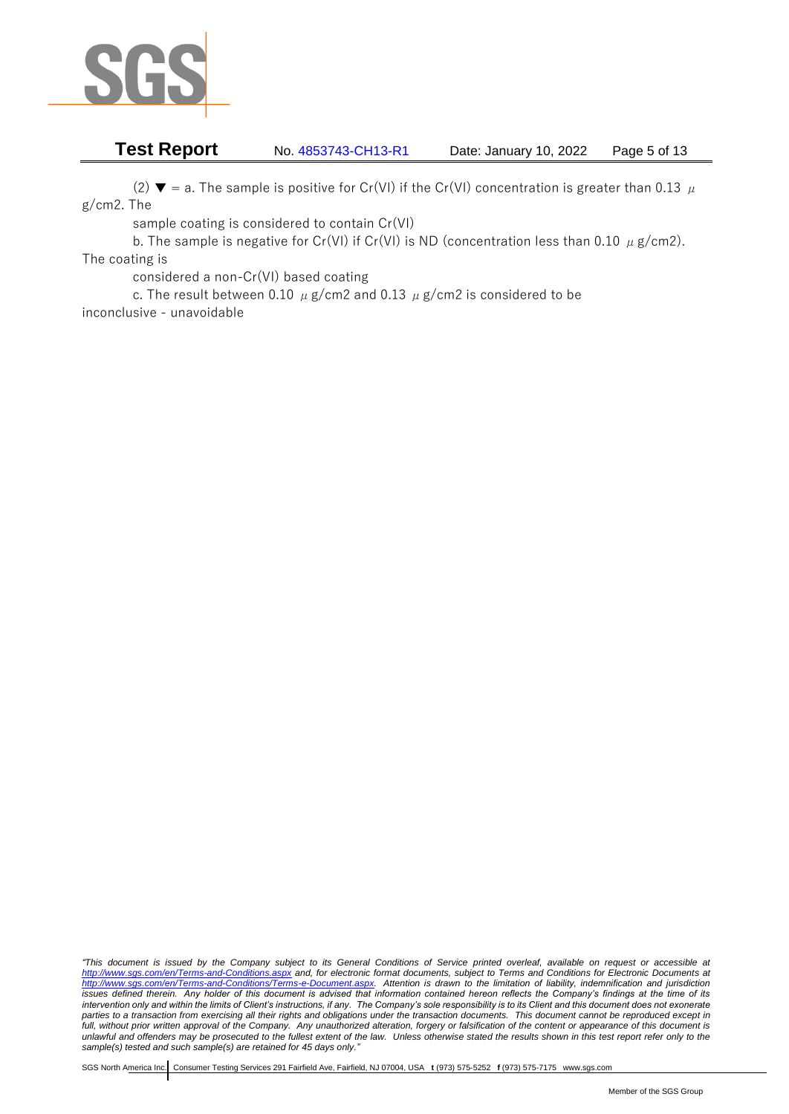

# **Test Report** No. 4853743-CH13-R1 Date: January 10, 2022 Page 5 of 13

(2)  $\blacktriangledown$  = a. The sample is positive for Cr(VI) if the Cr(VI) concentration is greater than 0.13  $\mu$ g/cm2. The

sample coating is considered to contain Cr(VI)

b. The sample is negative for Cr(VI) if Cr(VI) is ND (concentration less than 0.10  $\mu$  g/cm2). The coating is

considered a non-Cr(VI) based coating

c. The result between 0.10  $\mu$  g/cm2 and 0.13  $\mu$  g/cm2 is considered to be inconclusive - unavoidable

*"This document is issued by the Company subject to its General Conditions of Service printed overleaf, available on request or accessible at <http://www.sgs.com/en/Terms-and-Conditions.aspx> and, for electronic format documents, subject to Terms and Conditions for Electronic Documents at [http://www.sgs.com/en/Terms-and-Conditions/Terms-e-Document.aspx.](http://www.sgs.com/en/Terms-and-Conditions/Terms-e-Document.aspx) Attention is drawn to the limitation of liability, indemnification and jurisdiction issues defined therein. Any holder of this document is advised that information contained hereon reflects the Company's findings at the time of its intervention only and within the limits of Client's instructions, if any. The Company's sole responsibility is to its Client and this document does not exonerate parties to a transaction from exercising all their rights and obligations under the transaction documents. This document cannot be reproduced except in full, without prior written approval of the Company. Any unauthorized alteration, forgery or falsification of the content or appearance of this document is unlawful and offenders may be prosecuted to the fullest extent of the law. Unless otherwise stated the results shown in this test report refer only to the sample(s) tested and such sample(s) are retained for 45 days only."*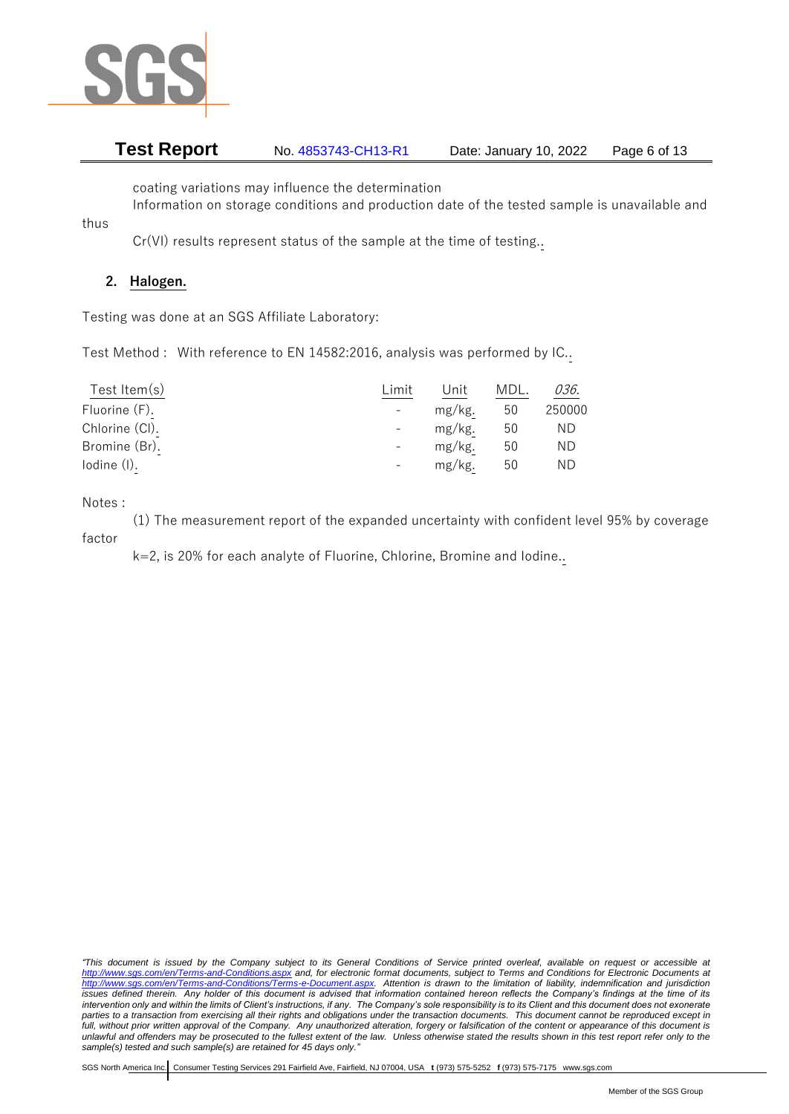

# **Test Report** No. 4853743-CH13-R1 Date: January 10, 2022 Page 6 of 13

coating variations may influence the determination

Information on storage conditions and production date of the tested sample is unavailable and

Cr(VI) results represent status of the sample at the time of testing..

# **2. Halogen.**

thus

Testing was done at an SGS Affiliate Laboratory:

Test Method : With reference to EN 14582:2016, analysis was performed by IC..

| Test Item $(s)$ | Limit | Unit   | MDL. | 036.   |
|-----------------|-------|--------|------|--------|
| Fluorine (F).   |       | mg/kg. | 50   | 250000 |
| Chlorine (CI).  |       | mg/kg. | 50   | ΝD     |
| Bromine (Br).   |       | mg/kg. | 50   | ΝD     |
| lodine (I).     |       | mg/kg. | 50   | ΝD     |

Notes :

(1) The measurement report of the expanded uncertainty with confident level 95% by coverage factor

k=2, is 20% for each analyte of Fluorine, Chlorine, Bromine and Iodine..

*"This document is issued by the Company subject to its General Conditions of Service printed overleaf, available on request or accessible at <http://www.sgs.com/en/Terms-and-Conditions.aspx> and, for electronic format documents, subject to Terms and Conditions for Electronic Documents at [http://www.sgs.com/en/Terms-and-Conditions/Terms-e-Document.aspx.](http://www.sgs.com/en/Terms-and-Conditions/Terms-e-Document.aspx) Attention is drawn to the limitation of liability, indemnification and jurisdiction issues defined therein. Any holder of this document is advised that information contained hereon reflects the Company's findings at the time of its intervention only and within the limits of Client's instructions, if any. The Company's sole responsibility is to its Client and this document does not exonerate parties to a transaction from exercising all their rights and obligations under the transaction documents. This document cannot be reproduced except in full, without prior written approval of the Company. Any unauthorized alteration, forgery or falsification of the content or appearance of this document is unlawful and offenders may be prosecuted to the fullest extent of the law. Unless otherwise stated the results shown in this test report refer only to the sample(s) tested and such sample(s) are retained for 45 days only."*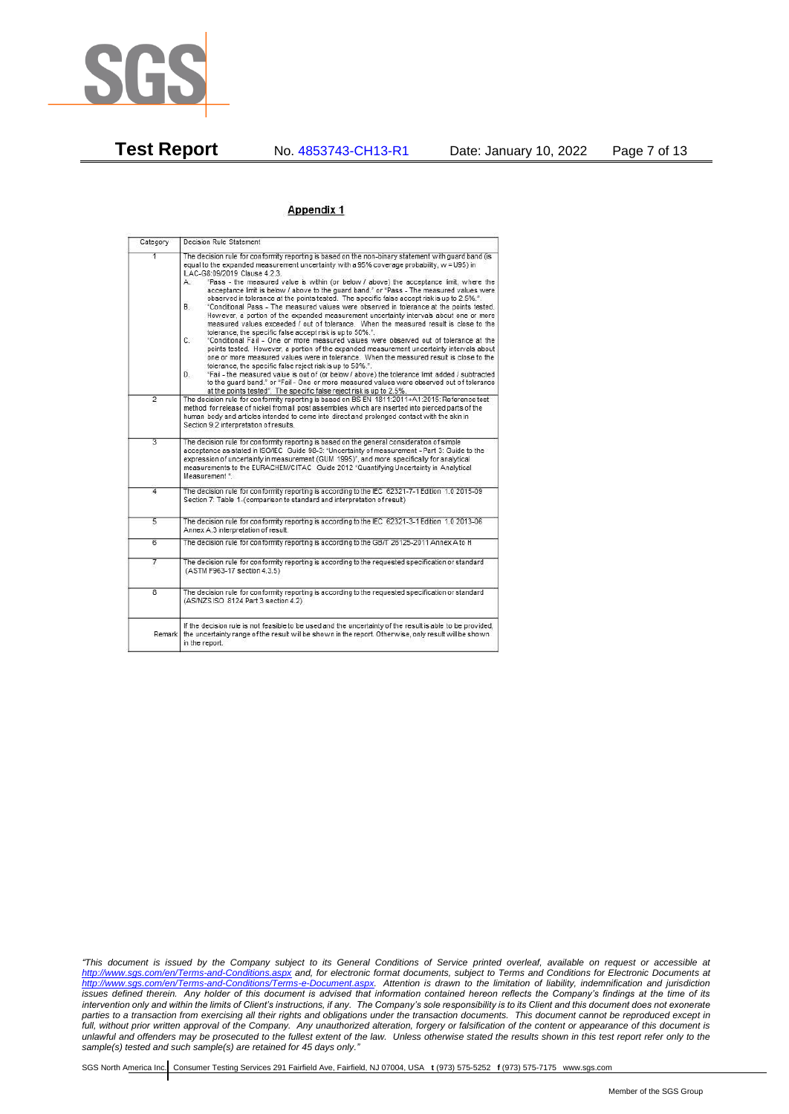

### Appendix 1

| Category       | Decision Rule Statement                                                                                                                                                                                                                                                                                                                                                                                                                                                                                                                                                                                                                                                                                                                                                                                                                                                                                                                                                                                                                                                                                                                                                                                                                                                                                                                                                                                                                                                                                                    |
|----------------|----------------------------------------------------------------------------------------------------------------------------------------------------------------------------------------------------------------------------------------------------------------------------------------------------------------------------------------------------------------------------------------------------------------------------------------------------------------------------------------------------------------------------------------------------------------------------------------------------------------------------------------------------------------------------------------------------------------------------------------------------------------------------------------------------------------------------------------------------------------------------------------------------------------------------------------------------------------------------------------------------------------------------------------------------------------------------------------------------------------------------------------------------------------------------------------------------------------------------------------------------------------------------------------------------------------------------------------------------------------------------------------------------------------------------------------------------------------------------------------------------------------------------|
| 1              | The decision rule for conformity reporting is based on the non-binary statement with quard band (is<br>equal to the expanded measurement uncertainty with a 95% coverage probability, w = U95) in<br>ILAC-G8:09/2019 Clause 4.2.3.<br>"Pass - the measured value is within (or below / above) the acceptance limit, where the<br>А.<br>acceptance limit is below / above to the quard band." or "Pass - The measured values were<br>observed in tolerance at the points tested. The specific false accept risk is up to 2.5%.".<br><b>B</b> .<br>"Conditional Pass - The measured values were observed in tolerance at the points tested.<br>However, a portion of the expanded measurement uncertainty intervals about one or more<br>measured values exceeded / out of tolerance. When the measured result is close to the<br>tolerance, the specific false accept risk is up to 50%.".<br>C.<br>"Conditional Fail - One or more measured values were observed out of tolerance at the<br>points tested. However, a portion of the expanded measurement uncertainty intervals about<br>one or more measured values were in tolerance. When the measured result is close to the<br>tolerance, the specific false reject risk is up to 50%.".<br>"Fail - the measured value is out of (or below / above) the tolerance limit added / subtracted<br>D.<br>to the quard band." or "Fail - One or more measured values were observed out of tolerance<br>at the points tested". The specific false reject risk is up to 2.5%. |
| $\overline{2}$ | The decision rule for conformity reporting is based on BS EN 1811:2011+A1:2015: Reference test<br>method for release of nickel from all post assemblies which are inserted into pierced parts of the<br>human body and articles intended to come into direct and prolonged contact with the skin in<br>Section 9.2 interpretation of results.                                                                                                                                                                                                                                                                                                                                                                                                                                                                                                                                                                                                                                                                                                                                                                                                                                                                                                                                                                                                                                                                                                                                                                              |
| $\overline{3}$ | The decision rule for conformity reporting is based on the general consideration of simple<br>acceptance as stated in ISO/IEC Guide 98-3: "Uncertainty of measurement - Part 3: Guide to the<br>expression of uncertainty in measurement (GUM 1995)", and more specifically for analytical<br>measurements to the EURACHEM/CITAC Guide 2012 "Quantifying Uncertainty in Analytical<br>Measurement *                                                                                                                                                                                                                                                                                                                                                                                                                                                                                                                                                                                                                                                                                                                                                                                                                                                                                                                                                                                                                                                                                                                        |
| 4              | The decision rule for conformity reporting is according to the IEC 62321-7-1 Edition 1.0 2015-09<br>Section 7: Table 1-(comparison to standard and interpretation of result)                                                                                                                                                                                                                                                                                                                                                                                                                                                                                                                                                                                                                                                                                                                                                                                                                                                                                                                                                                                                                                                                                                                                                                                                                                                                                                                                               |
| $\overline{5}$ | The decision rule for conformity reporting is according to the IEC 62321-3-1 Edition 1.0 2013-06<br>Annex A.3 interpretation of result.                                                                                                                                                                                                                                                                                                                                                                                                                                                                                                                                                                                                                                                                                                                                                                                                                                                                                                                                                                                                                                                                                                                                                                                                                                                                                                                                                                                    |
| $\overline{6}$ | The decision rule for conformity reporting is according to the GB/T 26125-2011 Annex A to H                                                                                                                                                                                                                                                                                                                                                                                                                                                                                                                                                                                                                                                                                                                                                                                                                                                                                                                                                                                                                                                                                                                                                                                                                                                                                                                                                                                                                                |
| 7              | The decision rule for conformity reporting is according to the requested specification or standard<br>(ASTM F963-17 section 4.3.5)                                                                                                                                                                                                                                                                                                                                                                                                                                                                                                                                                                                                                                                                                                                                                                                                                                                                                                                                                                                                                                                                                                                                                                                                                                                                                                                                                                                         |
| $\overline{8}$ | The decision rule for conformity reporting is according to the requested specification or standard<br>(AS/NZS ISO 8124 Part 3 section 4.2)                                                                                                                                                                                                                                                                                                                                                                                                                                                                                                                                                                                                                                                                                                                                                                                                                                                                                                                                                                                                                                                                                                                                                                                                                                                                                                                                                                                 |
|                | If the decision rule is not feasible to be used and the uncertainty of the result is able to be provided,<br>Remark the uncertainty range of the result will be shown in the report. Otherwise, only result will be shown<br>in the report.                                                                                                                                                                                                                                                                                                                                                                                                                                                                                                                                                                                                                                                                                                                                                                                                                                                                                                                                                                                                                                                                                                                                                                                                                                                                                |

*"This document is issued by the Company subject to its General Conditions of Service printed overleaf, available on request or accessible at <http://www.sgs.com/en/Terms-and-Conditions.aspx> and, for electronic format documents, subject to Terms and Conditions for Electronic Documents at [http://www.sgs.com/en/Terms-and-Conditions/Terms-e-Document.aspx.](http://www.sgs.com/en/Terms-and-Conditions/Terms-e-Document.aspx) Attention is drawn to the limitation of liability, indemnification and jurisdiction issues defined therein. Any holder of this document is advised that information contained hereon reflects the Company's findings at the time of its intervention only and within the limits of Client's instructions, if any. The Company's sole responsibility is to its Client and this document does not exonerate parties to a transaction from exercising all their rights and obligations under the transaction documents. This document cannot be reproduced except in full, without prior written approval of the Company. Any unauthorized alteration, forgery or falsification of the content or appearance of this document is unlawful and offenders may be prosecuted to the fullest extent of the law. Unless otherwise stated the results shown in this test report refer only to the sample(s) tested and such sample(s) are retained for 45 days only."*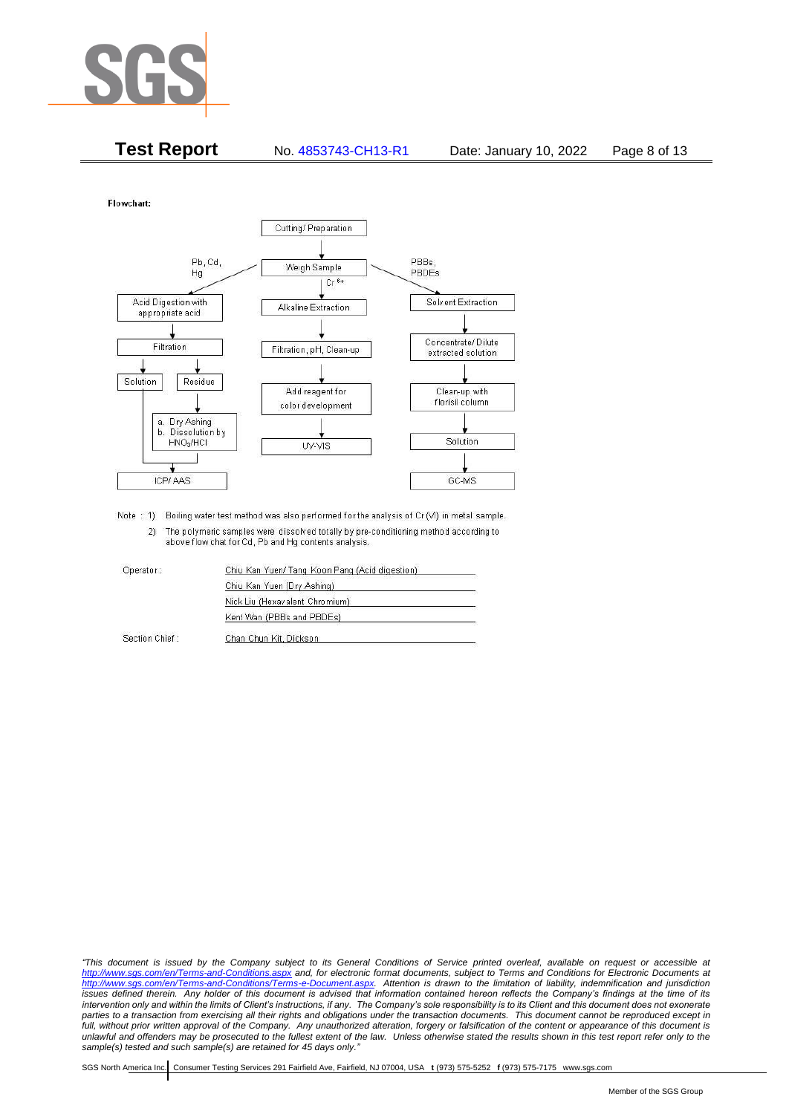

**Test Report** No. 4853743-CH13-R1 Date: January 10, 2022 Page 8 of 13

**Flowchart** 



Note : 1) Boiling water test method was also performed for the analysis of Cr (VI) in metal sample. 2) The polymeric samples were dissolved totally by pre-conditioning method according to above flow chat for Cd, Pb and Hg contents analysis

| Operator:      | Chiu Kan Yuen/ Tang Koon Pang (Acid digestion) |
|----------------|------------------------------------------------|
|                | Chiu Kan Yuen (Dry Ashing)                     |
|                | Nick Liu (Hexavalent Chromium)                 |
|                | Kent Wan (PBBs and PBDEs)                      |
| Section Chief: | Chan Chun Kit, Dickson                         |

*"This document is issued by the Company subject to its General Conditions of Service printed overleaf, available on request or accessible at <http://www.sgs.com/en/Terms-and-Conditions.aspx> and, for electronic format documents, subject to Terms and Conditions for Electronic Documents at [http://www.sgs.com/en/Terms-and-Conditions/Terms-e-Document.aspx.](http://www.sgs.com/en/Terms-and-Conditions/Terms-e-Document.aspx) Attention is drawn to the limitation of liability, indemnification and jurisdiction issues defined therein. Any holder of this document is advised that information contained hereon reflects the Company's findings at the time of its intervention only and within the limits of Client's instructions, if any. The Company's sole responsibility is to its Client and this document does not exonerate parties to a transaction from exercising all their rights and obligations under the transaction documents. This document cannot be reproduced except in full, without prior written approval of the Company. Any unauthorized alteration, forgery or falsification of the content or appearance of this document is unlawful and offenders may be prosecuted to the fullest extent of the law. Unless otherwise stated the results shown in this test report refer only to the sample(s) tested and such sample(s) are retained for 45 days only."*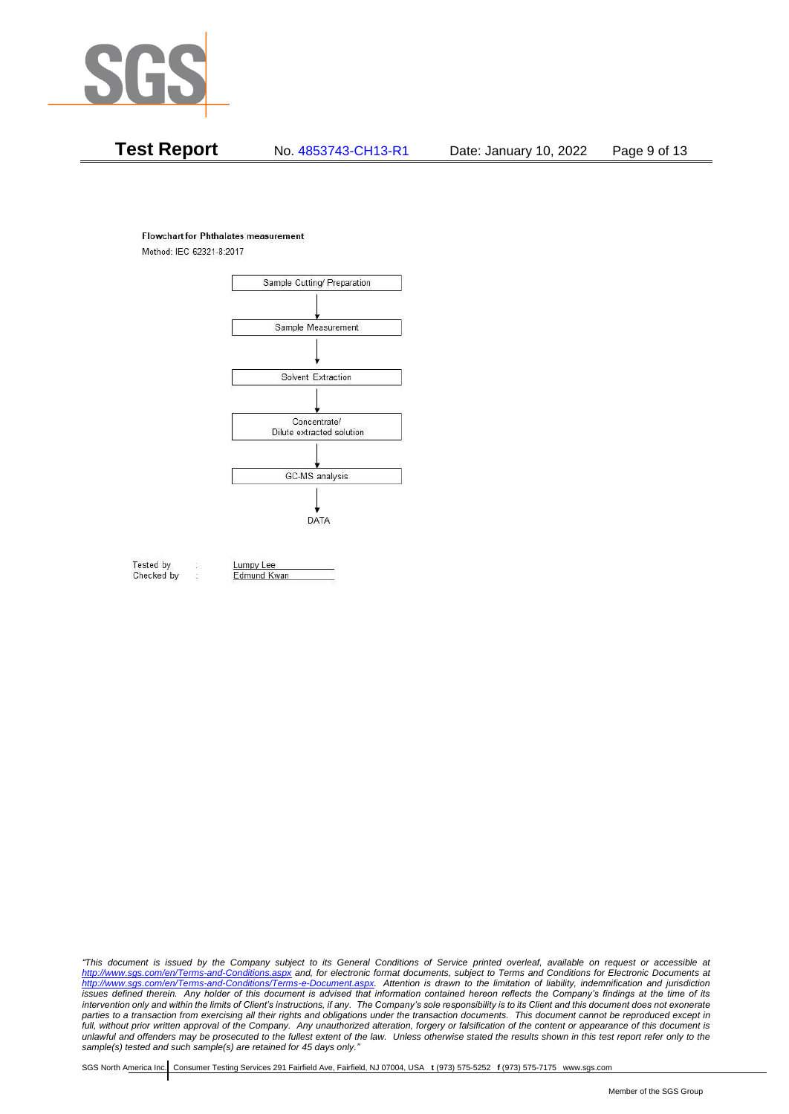

# **Test Report** No. 4853743-CH13-R1 Date: January 10, 2022 Page 9 of 13

### **Flowchart for Phthalates measurement**

Method: IEC 62321-8:2017



Tested by Checked by Lumpy Lee

Edmund Kwan

*"This document is issued by the Company subject to its General Conditions of Service printed overleaf, available on request or accessible at <http://www.sgs.com/en/Terms-and-Conditions.aspx> and, for electronic format documents, subject to Terms and Conditions for Electronic Documents at [http://www.sgs.com/en/Terms-and-Conditions/Terms-e-Document.aspx.](http://www.sgs.com/en/Terms-and-Conditions/Terms-e-Document.aspx) Attention is drawn to the limitation of liability, indemnification and jurisdiction issues defined therein. Any holder of this document is advised that information contained hereon reflects the Company's findings at the time of its intervention only and within the limits of Client's instructions, if any. The Company's sole responsibility is to its Client and this document does not exonerate parties to a transaction from exercising all their rights and obligations under the transaction documents. This document cannot be reproduced except in full, without prior written approval of the Company. Any unauthorized alteration, forgery or falsification of the content or appearance of this document is unlawful and offenders may be prosecuted to the fullest extent of the law. Unless otherwise stated the results shown in this test report refer only to the sample(s) tested and such sample(s) are retained for 45 days only."*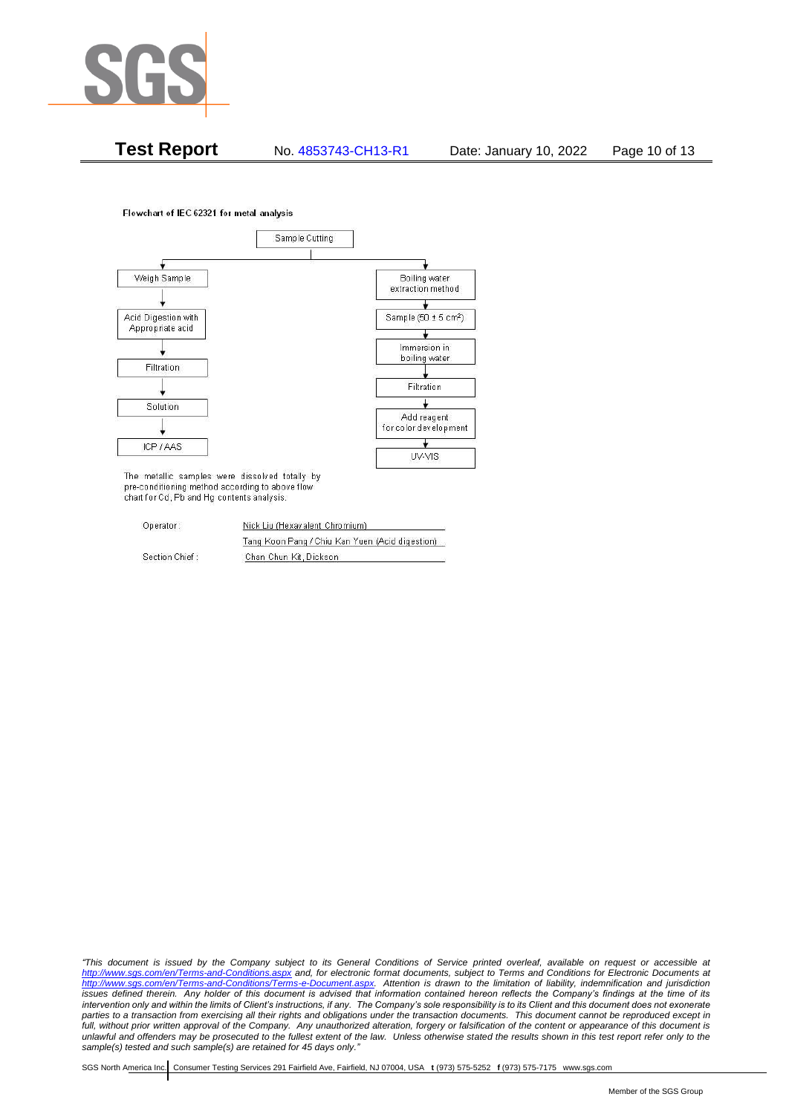

**Test Report** No. 4853743-CH13-R1 Date: January 10, 2022 Page 10 of 13

### Flowchart of IEC 62321 for metal analysis



The metallic samples were dissolved totally by pre-conditioning method according to above flow chart for Cd, Pb and Hg contents analysis.

| Operator:      | Nick Liu (Hexavalent Chromium)                  |  |  |
|----------------|-------------------------------------------------|--|--|
|                | Tang Koon Pang / Chiu Kan Yuen (Acid digestion) |  |  |
| Section Chief: | Chan Chun Kit, Dickson                          |  |  |

*"This document is issued by the Company subject to its General Conditions of Service printed overleaf, available on request or accessible at <http://www.sgs.com/en/Terms-and-Conditions.aspx> and, for electronic format documents, subject to Terms and Conditions for Electronic Documents at [http://www.sgs.com/en/Terms-and-Conditions/Terms-e-Document.aspx.](http://www.sgs.com/en/Terms-and-Conditions/Terms-e-Document.aspx) Attention is drawn to the limitation of liability, indemnification and jurisdiction issues defined therein. Any holder of this document is advised that information contained hereon reflects the Company's findings at the time of its intervention only and within the limits of Client's instructions, if any. The Company's sole responsibility is to its Client and this document does not exonerate parties to a transaction from exercising all their rights and obligations under the transaction documents. This document cannot be reproduced except in full, without prior written approval of the Company. Any unauthorized alteration, forgery or falsification of the content or appearance of this document is unlawful and offenders may be prosecuted to the fullest extent of the law. Unless otherwise stated the results shown in this test report refer only to the sample(s) tested and such sample(s) are retained for 45 days only."*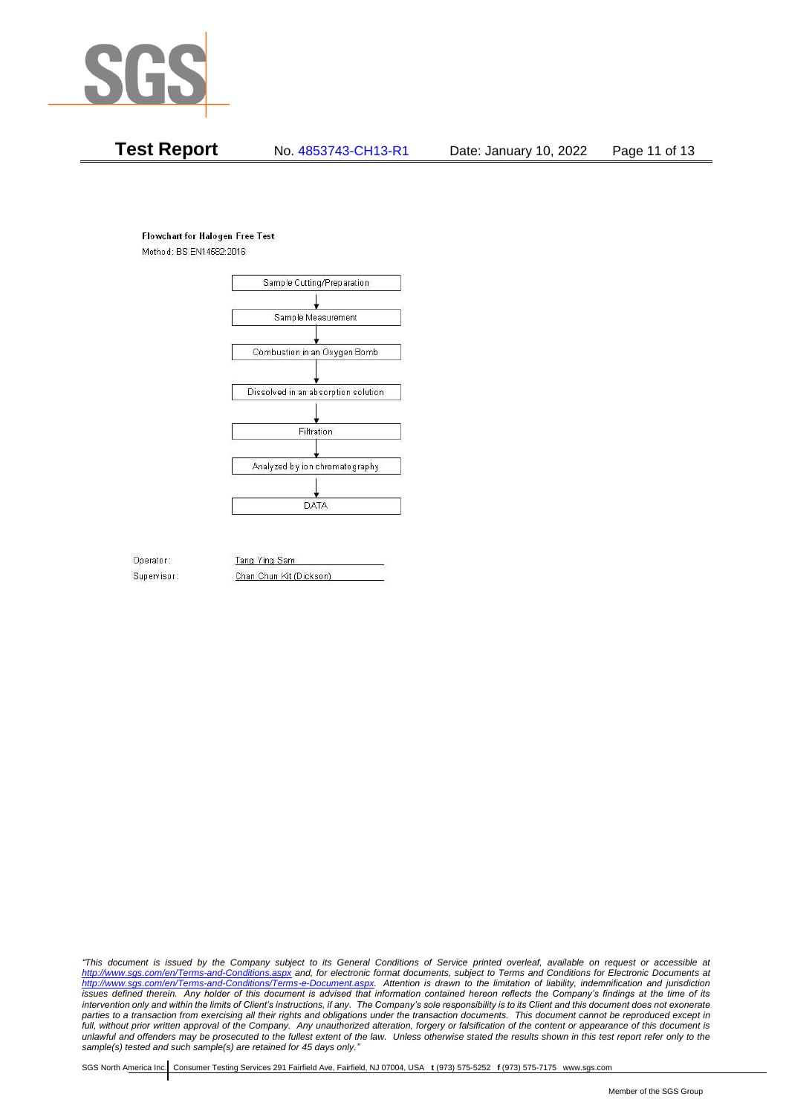

# **Test Report** No. 4853743-CH13-R1 Date: January 10, 2022 Page 11 of 13

### **Flowchart for Halogen Free Test**

Method: BS EN14582:2016



Operator: Supervisor: Tang Ying Sam Chan Chun Kit (Dickson)

*"This document is issued by the Company subject to its General Conditions of Service printed overleaf, available on request or accessible at <http://www.sgs.com/en/Terms-and-Conditions.aspx> and, for electronic format documents, subject to Terms and Conditions for Electronic Documents at [http://www.sgs.com/en/Terms-and-Conditions/Terms-e-Document.aspx.](http://www.sgs.com/en/Terms-and-Conditions/Terms-e-Document.aspx) Attention is drawn to the limitation of liability, indemnification and jurisdiction issues defined therein. Any holder of this document is advised that information contained hereon reflects the Company's findings at the time of its intervention only and within the limits of Client's instructions, if any. The Company's sole responsibility is to its Client and this document does not exonerate parties to a transaction from exercising all their rights and obligations under the transaction documents. This document cannot be reproduced except in full, without prior written approval of the Company. Any unauthorized alteration, forgery or falsification of the content or appearance of this document is unlawful and offenders may be prosecuted to the fullest extent of the law. Unless otherwise stated the results shown in this test report refer only to the sample(s) tested and such sample(s) are retained for 45 days only."*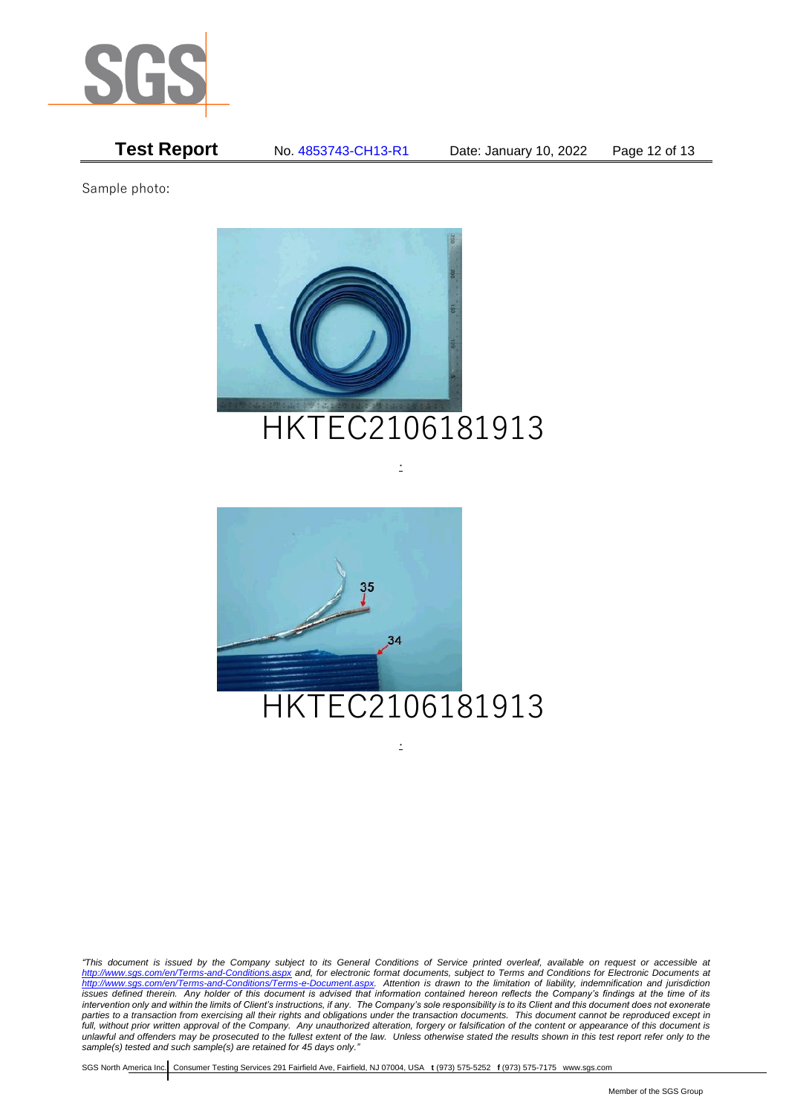

**Test Report** No. 4853743-CH13-R1 Date: January 10, 2022 Page 12 of 13

Sample photo:



.



*"This document is issued by the Company subject to its General Conditions of Service printed overleaf, available on request or accessible at <http://www.sgs.com/en/Terms-and-Conditions.aspx> and, for electronic format documents, subject to Terms and Conditions for Electronic Documents at [http://www.sgs.com/en/Terms-and-Conditions/Terms-e-Document.aspx.](http://www.sgs.com/en/Terms-and-Conditions/Terms-e-Document.aspx) Attention is drawn to the limitation of liability, indemnification and jurisdiction issues defined therein. Any holder of this document is advised that information contained hereon reflects the Company's findings at the time of its intervention only and within the limits of Client's instructions, if any. The Company's sole responsibility is to its Client and this document does not exonerate parties to a transaction from exercising all their rights and obligations under the transaction documents. This document cannot be reproduced except in full, without prior written approval of the Company. Any unauthorized alteration, forgery or falsification of the content or appearance of this document is unlawful and offenders may be prosecuted to the fullest extent of the law. Unless otherwise stated the results shown in this test report refer only to the sample(s) tested and such sample(s) are retained for 45 days only."*